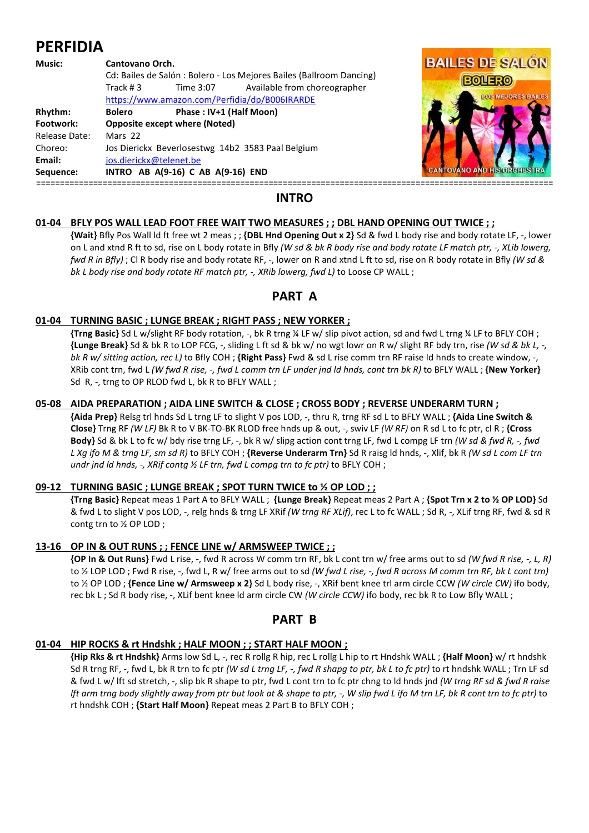# **PERFIDIA**

#### **Music: Cantovano Orch.**  Cd: Bailes de Salón : Bolero - Los Mejores Bailes (Ballroom Dancing) Track # 3 Time 3:07 Available from choreographer https://www.amazon.com/Perfidia/dp/B006IRARDE Rhythm: Bolero Phase : IV+1 (Half Moon) **Footwork: Opposite except where (Noted)**  Release Date: Mars 22 Choreo: Jos Dierickx Beverlosestwg 14b2 3583 Paal Belgium **Email:** jos.dierickx@telenet.be **Sequence: INTRO AB A(9-16) C AB A(9-16) END** =============================================================================================================



# **INTRO**

## **01-04 BFLY POS WALL LEAD FOOT FREE WAIT TWO MEASURES ; ; DBL HAND OPENING OUT TWICE ; ;**

 **{Wait}** Bfly Pos Wall ld ft free wt 2 meas ; ; **{DBL Hnd Opening Out x 2}** Sd & fwd L body rise and body rotate LF, -, lower on L and xtnd R ft to sd, rise on L body rotate in Bfly *(W sd & bk R body rise and body rotate LF match ptr, -, XLib lowerg, fwd R in Bfly)* ; Cl R body rise and body rotate RF, -, lower on R and xtnd L ft to sd, rise on R body rotate in Bfly *(W sd & bk L body rise and body rotate RF match ptr, -, XRib lowerg, fwd L)* to Loose CP WALL ;

# **PART A**

## **01-04 TURNING BASIC ; LUNGE BREAK ; RIGHT PASS ; NEW YORKER ;**

 **{Trng Basic}** Sd L w/slight RF body rotation, -, bk R trng ¼ LF w/ slip pivot action, sd and fwd L trng ¼ LF to BFLY COH ; **{Lunge Break}** Sd & bk R to LOP FCG, -, sliding L ft sd & bk w/ no wgt lowr on R w/ slight RF bdy trn, rise *(W sd & bk L, -, bk R w/ sitting action, rec L)* to Bfly COH ; **{Right Pass}** Fwd & sd L rise comm trn RF raise ld hnds to create window, -, XRib cont trn, fwd L *(W fwd R rise, -, fwd L comm trn LF under jnd ld hnds, cont trn bk R)* to BFLY WALL ; **{New Yorker}** Sd R, -, trng to OP RLOD fwd L, bk R to BFLY WALL ;

#### **05-08 AIDA PREPARATION ; AIDA LINE SWITCH & CLOSE ; CROSS BODY ; REVERSE UNDERARM TURN ;**

 **{Aida Prep}** Relsg trl hnds Sd L trng LF to slight V pos LOD, -, thru R, trng RF sd L to BFLY WALL ; **{Aida Line Switch & Close}** Trng RF *(W LF)* Bk R to V BK-TO-BK RLOD free hnds up & out, -, swiv LF *(W RF)* on R sd L to fc ptr, cl R ; **{Cross Body}** Sd & bk L to fc w/ bdy rise trng LF, -, bk R w/ slipg action cont trng LF, fwd L compg LF trn *(W sd & fwd R, -, fwd L Xg ifo M & trng LF, sm sd R)* to BFLY COH ; **{Reverse Underarm Trn}** Sd R raisg ld hnds, -, Xlif, bk R *(W sd L com LF trn undr jnd ld hnds, -, XRif contg ½ LF trn, fwd L compg trn to fc ptr)* to BFLY COH ;

#### **09-12 TURNING BASIC ; LUNGE BREAK ; SPOT TURN TWICE to ½ OP LOD ; ;**

 **{Trng Basic}** Repeat meas 1 Part A to BFLY WALL ; **{Lunge Break}** Repeat meas 2 Part A ; **{Spot Trn x 2 to ½ OP LOD}** Sd & fwd L to slight V pos LOD, -, relg hnds & trng LF XRif *(W trng RF XLif)*, rec L to fc WALL ; Sd R, -, XLif trng RF, fwd & sd R contg trn to ½ OP LOD ;

## **13-16 OP IN & OUT RUNS ; ; FENCE LINE w/ ARMSWEEP TWICE ; ;**

 **{OP In & Out Runs}** Fwd L rise, -, fwd R across W comm trn RF, bk L cont trn w/ free arms out to sd *(W fwd R rise, -, L, R)* to ½ LOP LOD ; Fwd R rise, -, fwd L, R w/ free arms out to sd *(W fwd L rise, -, fwd R across M comm trn RF, bk L cont trn)* to ½ OP LOD ; **{Fence Line w/ Armsweep x 2}** Sd L body rise, -, XRif bent knee trl arm circle CCW *(W circle CW)* ifo body, rec bk L ; Sd R body rise, -, XLif bent knee ld arm circle CW *(W circle CCW)* ifo body, rec bk R to Low Bfly WALL ;

## **PART B**

## **01-04 HIP ROCKS & rt Hndshk ; HALF MOON ; ; START HALF MOON ;**

 **{Hip Rks & rt Hndshk}** Arms low Sd L, -, rec R rollg R hip, rec L rollg L hip to rt Hndshk WALL ; **{Half Moon}** w/ rt hndshk Sd R trng RF, -, fwd L, bk R trn to fc ptr *(W sd L trng LF, -, fwd R shapg to ptr, bk L to fc ptr)* to rt hndshk WALL ; Trn LF sd & fwd L w/ lft sd stretch, -, slip bk R shape to ptr, fwd L cont trn to fc ptr chng to ld hnds jnd *(W trng RF sd & fwd R raise lft arm trng body slightly away from ptr but look at & shape to ptr, -, W slip fwd L ifo M trn LF, bk R cont trn to fc ptr)* to rt hndshk COH ; **{Start Half Moon}** Repeat meas 2 Part B to BFLY COH ;